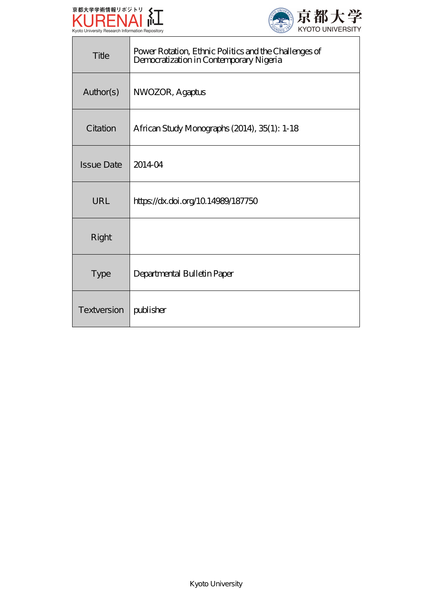

Г



| Title             | Power Rotation, Ethnic Politics and the Challenges of<br>Democratization in Contemporary Nigeria |
|-------------------|--------------------------------------------------------------------------------------------------|
| Author(s)         | NWOZOR, Agaptus                                                                                  |
| Citation          | African Study Monographs (2014), 35(1): 1-18                                                     |
| <b>Issue Date</b> | 201404                                                                                           |
| URL               | https://dx.doi.org/10.14989/187750                                                               |
| Right             |                                                                                                  |
| <b>Type</b>       | Departmental Bulletin Paper                                                                      |
| Textversion       | publisher                                                                                        |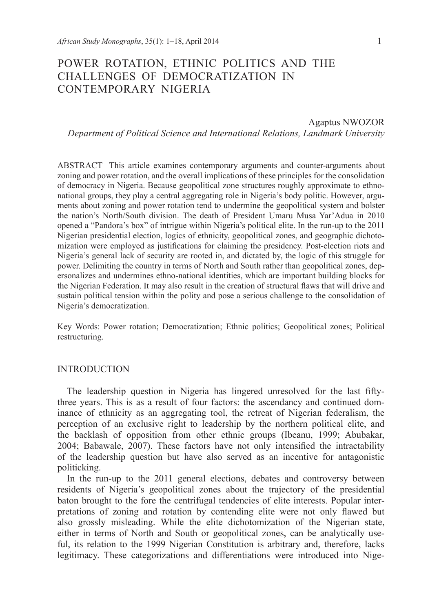# Power Rotation, Ethnic Politics and the Challenges of Democratization in Contemporary Nigeria

#### Agaptus NWOZOR

*Department of Political Science and International Relations, Landmark University*

ABSTRACT This article examines contemporary arguments and counter-arguments about zoning and power rotation, and the overall implications of these principles for the consolidation of democracy in Nigeria. Because geopolitical zone structures roughly approximate to ethnonational groups, they play a central aggregating role in Nigeria's body politic. However, arguments about zoning and power rotation tend to undermine the geopolitical system and bolster the nation's North/South division. The death of President Umaru Musa Yar'Adua in 2010 opened a "Pandora's box" of intrigue within Nigeria's political elite. In the run-up to the 2011 Nigerian presidential election, logics of ethnicity, geopolitical zones, and geographic dichotomization were employed as justifications for claiming the presidency. Post-election riots and Nigeria's general lack of security are rooted in, and dictated by, the logic of this struggle for power. Delimiting the country in terms of North and South rather than geopolitical zones, depersonalizes and undermines ethno-national identities, which are important building blocks for the Nigerian Federation. It may also result in the creation of structural flaws that will drive and sustain political tension within the polity and pose a serious challenge to the consolidation of Nigeria's democratization.

Key Words: Power rotation; Democratization; Ethnic politics; Geopolitical zones; Political restructuring.

#### INTRODUCTION

The leadership question in Nigeria has lingered unresolved for the last fiftythree years. This is as a result of four factors: the ascendancy and continued dominance of ethnicity as an aggregating tool, the retreat of Nigerian federalism, the perception of an exclusive right to leadership by the northern political elite, and the backlash of opposition from other ethnic groups (Ibeanu, 1999; Abubakar, 2004; Babawale, 2007). These factors have not only intensified the intractability of the leadership question but have also served as an incentive for antagonistic politicking.

In the run-up to the 2011 general elections, debates and controversy between residents of Nigeria's geopolitical zones about the trajectory of the presidential baton brought to the fore the centrifugal tendencies of elite interests. Popular interpretations of zoning and rotation by contending elite were not only flawed but also grossly misleading. While the elite dichotomization of the Nigerian state, either in terms of North and South or geopolitical zones, can be analytically useful, its relation to the 1999 Nigerian Constitution is arbitrary and, therefore, lacks legitimacy. These categorizations and differentiations were introduced into Nige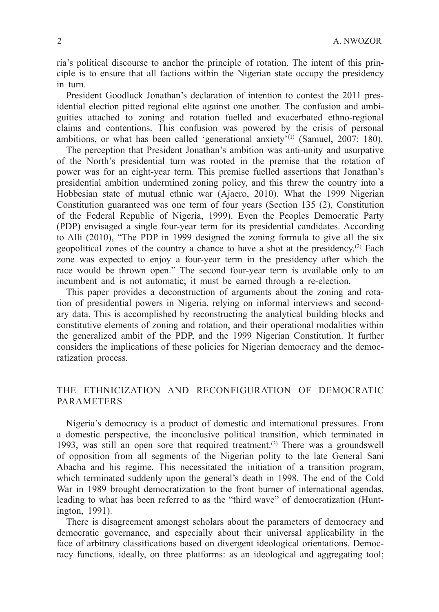ria's political discourse to anchor the principle of rotation. The intent of this principle is to ensure that all factions within the Nigerian state occupy the presidency in turn.

President Goodluck Jonathan's declaration of intention to contest the 2011 presidential election pitted regional elite against one another. The confusion and ambiguities attached to zoning and rotation fuelled and exacerbated ethno-regional claims and contentions. This confusion was powered by the crisis of personal ambitions, or what has been called 'generational anxiety'<sup>(1)</sup> (Samuel, 2007: 180).

The perception that President Jonathan's ambition was anti-unity and usurpative of the North's presidential turn was rooted in the premise that the rotation of power was for an eight-year term. This premise fuelled assertions that Jonathan's presidential ambition undermined zoning policy, and this threw the country into a Hobbesian state of mutual ethnic war (Ajaero, 2010). What the 1999 Nigerian Constitution guaranteed was one term of four years (Section 135 (2), Constitution of the Federal Republic of Nigeria, 1999). Even the Peoples Democratic Party (PDP) envisaged a single four-year term for its presidential candidates. According to Alli (2010), "The PDP in 1999 designed the zoning formula to give all the six geopolitical zones of the country a chance to have a shot at the presidency.(2) Each zone was expected to enjoy a four-year term in the presidency after which the race would be thrown open." The second four-year term is available only to an incumbent and is not automatic; it must be earned through a re-election.

This paper provides a deconstruction of arguments about the zoning and rotation of presidential powers in Nigeria, relying on informal interviews and secondary data. This is accomplished by reconstructing the analytical building blocks and constitutive elements of zoning and rotation, and their operational modalities within the generalized ambit of the PDP, and the 1999 Nigerian Constitution. It further considers the implications of these policies for Nigerian democracy and the democratization process.

# The Ethnicization and Reconfiguration of Democratic **PARAMETERS**

Nigeria's democracy is a product of domestic and international pressures. From a domestic perspective, the inconclusive political transition, which terminated in 1993, was still an open sore that required treatment.<sup>(3)</sup> There was a groundswell of opposition from all segments of the Nigerian polity to the late General Sani Abacha and his regime. This necessitated the initiation of a transition program, which terminated suddenly upon the general's death in 1998. The end of the Cold War in 1989 brought democratization to the front burner of international agendas, leading to what has been referred to as the "third wave" of democratization (Huntington, 1991).

There is disagreement amongst scholars about the parameters of democracy and democratic governance, and especially about their universal applicability in the face of arbitrary classifications based on divergent ideological orientations. Democracy functions, ideally, on three platforms: as an ideological and aggregating tool;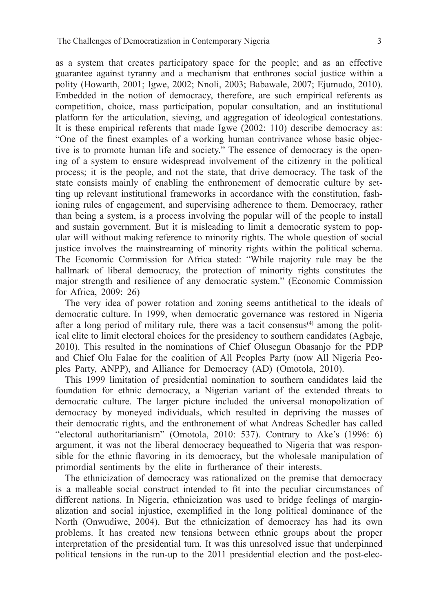as a system that creates participatory space for the people; and as an effective guarantee against tyranny and a mechanism that enthrones social justice within a polity (Howarth, 2001; Igwe, 2002; Nnoli, 2003; Babawale, 2007; Ejumudo, 2010). Embedded in the notion of democracy, therefore, are such empirical referents as competition, choice, mass participation, popular consultation, and an institutional platform for the articulation, sieving, and aggregation of ideological contestations. It is these empirical referents that made Igwe (2002: 110) describe democracy as: "One of the finest examples of a working human contrivance whose basic objective is to promote human life and society." The essence of democracy is the opening of a system to ensure widespread involvement of the citizenry in the political process; it is the people, and not the state, that drive democracy. The task of the state consists mainly of enabling the enthronement of democratic culture by setting up relevant institutional frameworks in accordance with the constitution, fashioning rules of engagement, and supervising adherence to them. Democracy, rather than being a system, is a process involving the popular will of the people to install and sustain government. But it is misleading to limit a democratic system to popular will without making reference to minority rights. The whole question of social justice involves the mainstreaming of minority rights within the political schema. The Economic Commission for Africa stated: "While majority rule may be the hallmark of liberal democracy, the protection of minority rights constitutes the major strength and resilience of any democratic system." (Economic Commission for Africa, 2009: 26)

The very idea of power rotation and zoning seems antithetical to the ideals of democratic culture. In 1999, when democratic governance was restored in Nigeria after a long period of military rule, there was a tacit consensus<sup>(4)</sup> among the political elite to limit electoral choices for the presidency to southern candidates (Agbaje, 2010). This resulted in the nominations of Chief Olusegun Obasanjo for the PDP and Chief Olu Falae for the coalition of All Peoples Party (now All Nigeria Peoples Party, ANPP), and Alliance for Democracy (AD) (Omotola, 2010).

This 1999 limitation of presidential nomination to southern candidates laid the foundation for ethnic democracy, a Nigerian variant of the extended threats to democratic culture. The larger picture included the universal monopolization of democracy by moneyed individuals, which resulted in depriving the masses of their democratic rights, and the enthronement of what Andreas Schedler has called "electoral authoritarianism" (Omotola, 2010: 537). Contrary to Ake's (1996: 6) argument, it was not the liberal democracy bequeathed to Nigeria that was responsible for the ethnic flavoring in its democracy, but the wholesale manipulation of primordial sentiments by the elite in furtherance of their interests.

The ethnicization of democracy was rationalized on the premise that democracy is a malleable social construct intended to fit into the peculiar circumstances of different nations. In Nigeria, ethnicization was used to bridge feelings of marginalization and social injustice, exemplified in the long political dominance of the North (Onwudiwe, 2004). But the ethnicization of democracy has had its own problems. It has created new tensions between ethnic groups about the proper interpretation of the presidential turn. It was this unresolved issue that underpinned political tensions in the run-up to the 2011 presidential election and the post-elec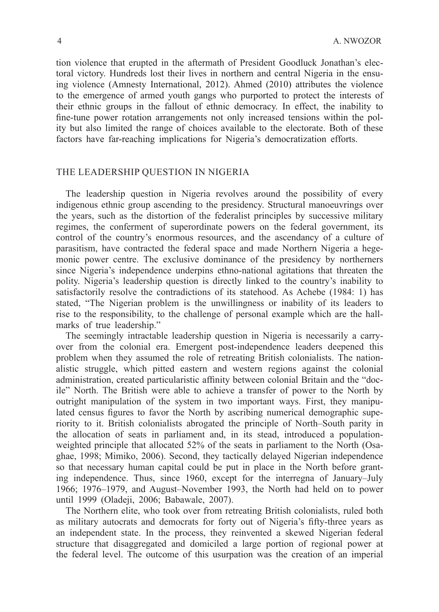tion violence that erupted in the aftermath of President Goodluck Jonathan's electoral victory. Hundreds lost their lives in northern and central Nigeria in the ensuing violence (Amnesty International, 2012). Ahmed (2010) attributes the violence to the emergence of armed youth gangs who purported to protect the interests of their ethnic groups in the fallout of ethnic democracy. In effect, the inability to fine-tune power rotation arrangements not only increased tensions within the polity but also limited the range of choices available to the electorate. Both of these factors have far-reaching implications for Nigeria's democratization efforts.

### The Leadership Question in Nigeria

The leadership question in Nigeria revolves around the possibility of every indigenous ethnic group ascending to the presidency. Structural manoeuvrings over the years, such as the distortion of the federalist principles by successive military regimes, the conferment of superordinate powers on the federal government, its control of the country's enormous resources, and the ascendancy of a culture of parasitism, have contracted the federal space and made Northern Nigeria a hegemonic power centre. The exclusive dominance of the presidency by northerners since Nigeria's independence underpins ethno-national agitations that threaten the polity. Nigeria's leadership question is directly linked to the country's inability to satisfactorily resolve the contradictions of its statehood. As Achebe (1984: 1) has stated, "The Nigerian problem is the unwillingness or inability of its leaders to rise to the responsibility, to the challenge of personal example which are the hallmarks of true leadership."

The seemingly intractable leadership question in Nigeria is necessarily a carryover from the colonial era. Emergent post-independence leaders deepened this problem when they assumed the role of retreating British colonialists. The nationalistic struggle, which pitted eastern and western regions against the colonial administration, created particularistic affinity between colonial Britain and the "docile" North. The British were able to achieve a transfer of power to the North by outright manipulation of the system in two important ways. First, they manipulated census figures to favor the North by ascribing numerical demographic superiority to it. British colonialists abrogated the principle of North–South parity in the allocation of seats in parliament and, in its stead, introduced a populationweighted principle that allocated 52% of the seats in parliament to the North (Osaghae, 1998; Mimiko, 2006). Second, they tactically delayed Nigerian independence so that necessary human capital could be put in place in the North before granting independence. Thus, since 1960, except for the interregna of January–July 1966; 1976–1979, and August–November 1993, the North had held on to power until 1999 (Oladeji, 2006; Babawale, 2007).

The Northern elite, who took over from retreating British colonialists, ruled both as military autocrats and democrats for forty out of Nigeria's fifty-three years as an independent state. In the process, they reinvented a skewed Nigerian federal structure that disaggregated and domiciled a large portion of regional power at the federal level. The outcome of this usurpation was the creation of an imperial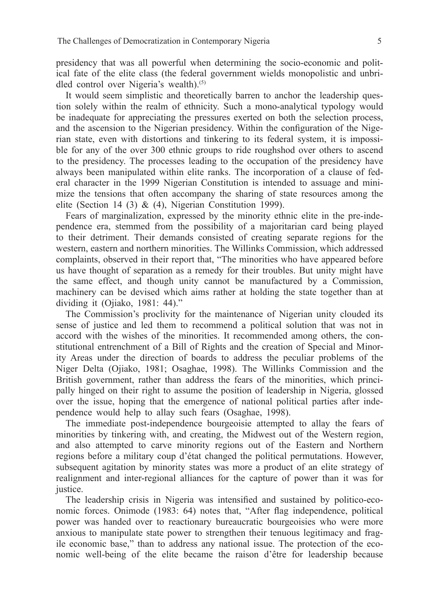presidency that was all powerful when determining the socio-economic and political fate of the elite class (the federal government wields monopolistic and unbridled control over Nigeria's wealth).<sup>(5)</sup>

It would seem simplistic and theoretically barren to anchor the leadership question solely within the realm of ethnicity. Such a mono-analytical typology would be inadequate for appreciating the pressures exerted on both the selection process, and the ascension to the Nigerian presidency. Within the configuration of the Nigerian state, even with distortions and tinkering to its federal system, it is impossible for any of the over 300 ethnic groups to ride roughshod over others to ascend to the presidency. The processes leading to the occupation of the presidency have always been manipulated within elite ranks. The incorporation of a clause of federal character in the 1999 Nigerian Constitution is intended to assuage and minimize the tensions that often accompany the sharing of state resources among the elite (Section 14 (3) & (4), Nigerian Constitution 1999).

Fears of marginalization, expressed by the minority ethnic elite in the pre-independence era, stemmed from the possibility of a majoritarian card being played to their detriment. Their demands consisted of creating separate regions for the western, eastern and northern minorities. The Willinks Commission, which addressed complaints, observed in their report that, "The minorities who have appeared before us have thought of separation as a remedy for their troubles. But unity might have the same effect, and though unity cannot be manufactured by a Commission, machinery can be devised which aims rather at holding the state together than at dividing it (Ojiako, 1981: 44)."

The Commission's proclivity for the maintenance of Nigerian unity clouded its sense of justice and led them to recommend a political solution that was not in accord with the wishes of the minorities. It recommended among others, the constitutional entrenchment of a Bill of Rights and the creation of Special and Minority Areas under the direction of boards to address the peculiar problems of the Niger Delta (Ojiako, 1981; Osaghae, 1998). The Willinks Commission and the British government, rather than address the fears of the minorities, which principally hinged on their right to assume the position of leadership in Nigeria, glossed over the issue, hoping that the emergence of national political parties after independence would help to allay such fears (Osaghae, 1998).

The immediate post-independence bourgeoisie attempted to allay the fears of minorities by tinkering with, and creating, the Midwest out of the Western region, and also attempted to carve minority regions out of the Eastern and Northern regions before a military coup d'état changed the political permutations. However, subsequent agitation by minority states was more a product of an elite strategy of realignment and inter-regional alliances for the capture of power than it was for justice.

The leadership crisis in Nigeria was intensified and sustained by politico-economic forces. Onimode (1983: 64) notes that, "After flag independence, political power was handed over to reactionary bureaucratic bourgeoisies who were more anxious to manipulate state power to strengthen their tenuous legitimacy and fragile economic base," than to address any national issue. The protection of the economic well-being of the elite became the raison d'être for leadership because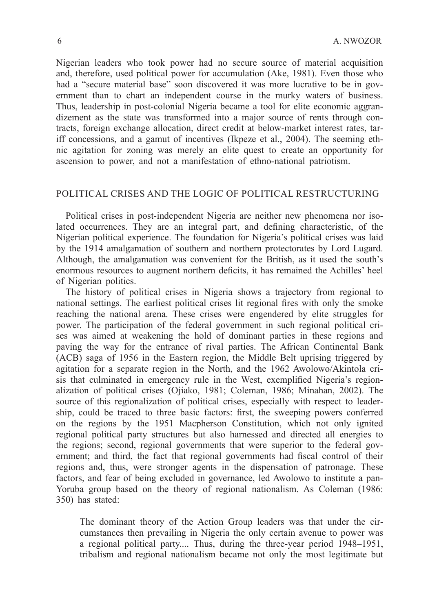Nigerian leaders who took power had no secure source of material acquisition and, therefore, used political power for accumulation (Ake, 1981). Even those who had a "secure material base" soon discovered it was more lucrative to be in government than to chart an independent course in the murky waters of business. Thus, leadership in post-colonial Nigeria became a tool for elite economic aggrandizement as the state was transformed into a major source of rents through contracts, foreign exchange allocation, direct credit at below-market interest rates, tariff concessions, and a gamut of incentives (Ikpeze et al., 2004). The seeming ethnic agitation for zoning was merely an elite quest to create an opportunity for ascension to power, and not a manifestation of ethno-national patriotism.

### Political Crises and the Logic of Political Restructuring

Political crises in post-independent Nigeria are neither new phenomena nor isolated occurrences. They are an integral part, and defining characteristic, of the Nigerian political experience. The foundation for Nigeria's political crises was laid by the 1914 amalgamation of southern and northern protectorates by Lord Lugard. Although, the amalgamation was convenient for the British, as it used the south's enormous resources to augment northern deficits, it has remained the Achilles' heel of Nigerian politics.

The history of political crises in Nigeria shows a trajectory from regional to national settings. The earliest political crises lit regional fires with only the smoke reaching the national arena. These crises were engendered by elite struggles for power. The participation of the federal government in such regional political crises was aimed at weakening the hold of dominant parties in these regions and paving the way for the entrance of rival parties. The African Continental Bank (ACB) saga of 1956 in the Eastern region, the Middle Belt uprising triggered by agitation for a separate region in the North, and the 1962 Awolowo/Akintola crisis that culminated in emergency rule in the West, exemplified Nigeria's regionalization of political crises (Ojiako, 1981; Coleman, 1986; Minahan, 2002). The source of this regionalization of political crises, especially with respect to leadership, could be traced to three basic factors: first, the sweeping powers conferred on the regions by the 1951 Macpherson Constitution, which not only ignited regional political party structures but also harnessed and directed all energies to the regions; second, regional governments that were superior to the federal government; and third, the fact that regional governments had fiscal control of their regions and, thus, were stronger agents in the dispensation of patronage. These factors, and fear of being excluded in governance, led Awolowo to institute a pan-Yoruba group based on the theory of regional nationalism. As Coleman (1986: 350) has stated:

The dominant theory of the Action Group leaders was that under the circumstances then prevailing in Nigeria the only certain avenue to power was a regional political party.... Thus, during the three-year period 1948–1951, tribalism and regional nationalism became not only the most legitimate but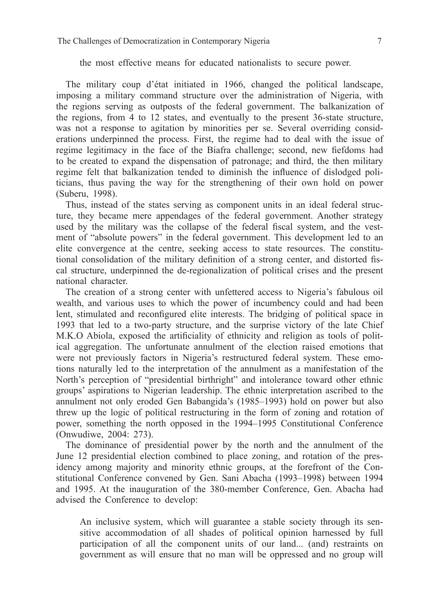the most effective means for educated nationalists to secure power.

The military coup d'état initiated in 1966, changed the political landscape, imposing a military command structure over the administration of Nigeria, with the regions serving as outposts of the federal government. The balkanization of the regions, from 4 to 12 states, and eventually to the present 36-state structure, was not a response to agitation by minorities per se. Several overriding considerations underpinned the process. First, the regime had to deal with the issue of regime legitimacy in the face of the Biafra challenge; second, new fiefdoms had to be created to expand the dispensation of patronage; and third, the then military regime felt that balkanization tended to diminish the influence of dislodged politicians, thus paving the way for the strengthening of their own hold on power (Suberu, 1998).

Thus, instead of the states serving as component units in an ideal federal structure, they became mere appendages of the federal government. Another strategy used by the military was the collapse of the federal fiscal system, and the vestment of "absolute powers" in the federal government. This development led to an elite convergence at the centre, seeking access to state resources. The constitutional consolidation of the military definition of a strong center, and distorted fiscal structure, underpinned the de-regionalization of political crises and the present national character.

The creation of a strong center with unfettered access to Nigeria's fabulous oil wealth, and various uses to which the power of incumbency could and had been lent, stimulated and reconfigured elite interests. The bridging of political space in 1993 that led to a two-party structure, and the surprise victory of the late Chief M.K.O Abiola, exposed the artificiality of ethnicity and religion as tools of political aggregation. The unfortunate annulment of the election raised emotions that were not previously factors in Nigeria's restructured federal system. These emotions naturally led to the interpretation of the annulment as a manifestation of the North's perception of "presidential birthright" and intolerance toward other ethnic groups' aspirations to Nigerian leadership. The ethnic interpretation ascribed to the annulment not only eroded Gen Babangida's (1985–1993) hold on power but also threw up the logic of political restructuring in the form of zoning and rotation of power, something the north opposed in the 1994–1995 Constitutional Conference (Onwudiwe, 2004: 273).

The dominance of presidential power by the north and the annulment of the June 12 presidential election combined to place zoning, and rotation of the presidency among majority and minority ethnic groups, at the forefront of the Constitutional Conference convened by Gen. Sani Abacha (1993–1998) between 1994 and 1995. At the inauguration of the 380-member Conference, Gen. Abacha had advised the Conference to develop:

An inclusive system, which will guarantee a stable society through its sensitive accommodation of all shades of political opinion harnessed by full participation of all the component units of our land... (and) restraints on government as will ensure that no man will be oppressed and no group will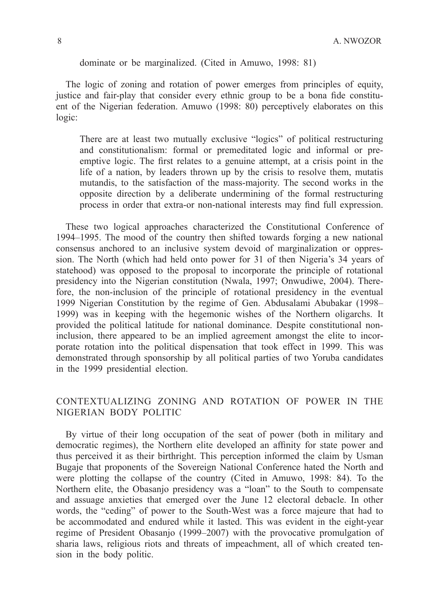dominate or be marginalized. (Cited in Amuwo, 1998: 81)

The logic of zoning and rotation of power emerges from principles of equity, justice and fair-play that consider every ethnic group to be a bona fide constituent of the Nigerian federation. Amuwo (1998: 80) perceptively elaborates on this logic:

There are at least two mutually exclusive "logics" of political restructuring and constitutionalism: formal or premeditated logic and informal or preemptive logic. The first relates to a genuine attempt, at a crisis point in the life of a nation, by leaders thrown up by the crisis to resolve them, mutatis mutandis, to the satisfaction of the mass-majority. The second works in the opposite direction by a deliberate undermining of the formal restructuring process in order that extra-or non-national interests may find full expression.

These two logical approaches characterized the Constitutional Conference of 1994–1995. The mood of the country then shifted towards forging a new national consensus anchored to an inclusive system devoid of marginalization or oppression. The North (which had held onto power for 31 of then Nigeria's 34 years of statehood) was opposed to the proposal to incorporate the principle of rotational presidency into the Nigerian constitution (Nwala, 1997; Onwudiwe, 2004). Therefore, the non-inclusion of the principle of rotational presidency in the eventual 1999 Nigerian Constitution by the regime of Gen. Abdusalami Abubakar (1998– 1999) was in keeping with the hegemonic wishes of the Northern oligarchs. It provided the political latitude for national dominance. Despite constitutional noninclusion, there appeared to be an implied agreement amongst the elite to incorporate rotation into the political dispensation that took effect in 1999. This was demonstrated through sponsorship by all political parties of two Yoruba candidates in the 1999 presidential election.

# Contextualizing Zoning and Rotation of Power in the Nigerian Body Politic

By virtue of their long occupation of the seat of power (both in military and democratic regimes), the Northern elite developed an affinity for state power and thus perceived it as their birthright. This perception informed the claim by Usman Bugaje that proponents of the Sovereign National Conference hated the North and were plotting the collapse of the country (Cited in Amuwo, 1998: 84). To the Northern elite, the Obasanjo presidency was a "loan" to the South to compensate and assuage anxieties that emerged over the June 12 electoral debacle. In other words, the "ceding" of power to the South-West was a force majeure that had to be accommodated and endured while it lasted. This was evident in the eight-year regime of President Obasanjo (1999–2007) with the provocative promulgation of sharia laws, religious riots and threats of impeachment, all of which created tension in the body politic.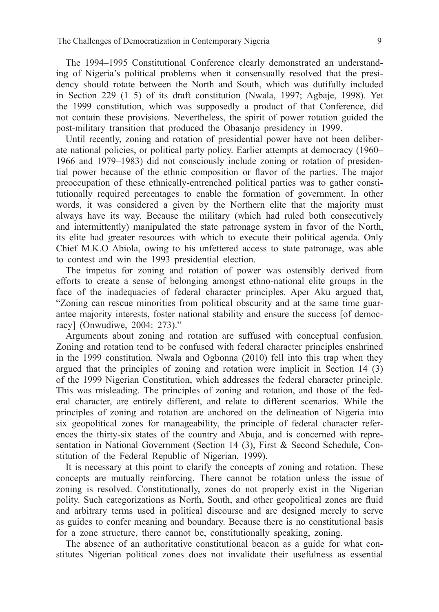The 1994–1995 Constitutional Conference clearly demonstrated an understanding of Nigeria's political problems when it consensually resolved that the presidency should rotate between the North and South, which was dutifully included in Section 229 (1–5) of its draft constitution (Nwala, 1997; Agbaje, 1998). Yet the 1999 constitution, which was supposedly a product of that Conference, did not contain these provisions. Nevertheless, the spirit of power rotation guided the post-military transition that produced the Obasanjo presidency in 1999.

Until recently, zoning and rotation of presidential power have not been deliberate national policies, or political party policy. Earlier attempts at democracy (1960– 1966 and 1979–1983) did not consciously include zoning or rotation of presidential power because of the ethnic composition or flavor of the parties. The major preoccupation of these ethnically-entrenched political parties was to gather constitutionally required percentages to enable the formation of government. In other words, it was considered a given by the Northern elite that the majority must always have its way. Because the military (which had ruled both consecutively and intermittently) manipulated the state patronage system in favor of the North, its elite had greater resources with which to execute their political agenda. Only Chief M.K.O Abiola, owing to his unfettered access to state patronage, was able to contest and win the 1993 presidential election.

The impetus for zoning and rotation of power was ostensibly derived from efforts to create a sense of belonging amongst ethno-national elite groups in the face of the inadequacies of federal character principles. Aper Aku argued that, "Zoning can rescue minorities from political obscurity and at the same time guarantee majority interests, foster national stability and ensure the success [of democracy] (Onwudiwe, 2004: 273)."

Arguments about zoning and rotation are suffused with conceptual confusion. Zoning and rotation tend to be confused with federal character principles enshrined in the 1999 constitution. Nwala and Ogbonna (2010) fell into this trap when they argued that the principles of zoning and rotation were implicit in Section 14 (3) of the 1999 Nigerian Constitution, which addresses the federal character principle. This was misleading. The principles of zoning and rotation, and those of the federal character, are entirely different, and relate to different scenarios. While the principles of zoning and rotation are anchored on the delineation of Nigeria into six geopolitical zones for manageability, the principle of federal character references the thirty-six states of the country and Abuja, and is concerned with representation in National Government (Section 14 (3), First & Second Schedule, Constitution of the Federal Republic of Nigerian, 1999).

It is necessary at this point to clarify the concepts of zoning and rotation. These concepts are mutually reinforcing. There cannot be rotation unless the issue of zoning is resolved. Constitutionally, zones do not properly exist in the Nigerian polity. Such categorizations as North, South, and other geopolitical zones are fluid and arbitrary terms used in political discourse and are designed merely to serve as guides to confer meaning and boundary. Because there is no constitutional basis for a zone structure, there cannot be, constitutionally speaking, zoning.

The absence of an authoritative constitutional beacon as a guide for what constitutes Nigerian political zones does not invalidate their usefulness as essential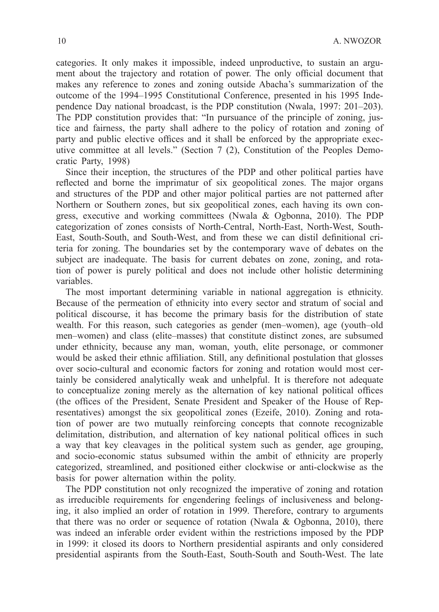categories. It only makes it impossible, indeed unproductive, to sustain an argument about the trajectory and rotation of power. The only official document that makes any reference to zones and zoning outside Abacha's summarization of the outcome of the 1994–1995 Constitutional Conference, presented in his 1995 Independence Day national broadcast, is the PDP constitution (Nwala, 1997: 201–203). The PDP constitution provides that: "In pursuance of the principle of zoning, justice and fairness, the party shall adhere to the policy of rotation and zoning of party and public elective offices and it shall be enforced by the appropriate executive committee at all levels." (Section 7 (2), Constitution of the Peoples Democratic Party, 1998)

Since their inception, the structures of the PDP and other political parties have reflected and borne the imprimatur of six geopolitical zones. The major organs and structures of the PDP and other major political parties are not patterned after Northern or Southern zones, but six geopolitical zones, each having its own congress, executive and working committees (Nwala & Ogbonna, 2010). The PDP categorization of zones consists of North-Central, North-East, North-West, South-East, South-South, and South-West, and from these we can distil definitional criteria for zoning. The boundaries set by the contemporary wave of debates on the subject are inadequate. The basis for current debates on zone, zoning, and rotation of power is purely political and does not include other holistic determining variables.

The most important determining variable in national aggregation is ethnicity. Because of the permeation of ethnicity into every sector and stratum of social and political discourse, it has become the primary basis for the distribution of state wealth. For this reason, such categories as gender (men–women), age (youth–old men–women) and class (elite–masses) that constitute distinct zones, are subsumed under ethnicity, because any man, woman, youth, elite personage, or commoner would be asked their ethnic affiliation. Still, any definitional postulation that glosses over socio-cultural and economic factors for zoning and rotation would most certainly be considered analytically weak and unhelpful. It is therefore not adequate to conceptualize zoning merely as the alternation of key national political offices (the offices of the President, Senate President and Speaker of the House of Representatives) amongst the six geopolitical zones (Ezeife, 2010). Zoning and rotation of power are two mutually reinforcing concepts that connote recognizable delimitation, distribution, and alternation of key national political offices in such a way that key cleavages in the political system such as gender, age grouping, and socio-economic status subsumed within the ambit of ethnicity are properly categorized, streamlined, and positioned either clockwise or anti-clockwise as the basis for power alternation within the polity.

The PDP constitution not only recognized the imperative of zoning and rotation as irreducible requirements for engendering feelings of inclusiveness and belonging, it also implied an order of rotation in 1999. Therefore, contrary to arguments that there was no order or sequence of rotation (Nwala & Ogbonna, 2010), there was indeed an inferable order evident within the restrictions imposed by the PDP in 1999: it closed its doors to Northern presidential aspirants and only considered presidential aspirants from the South-East, South-South and South-West. The late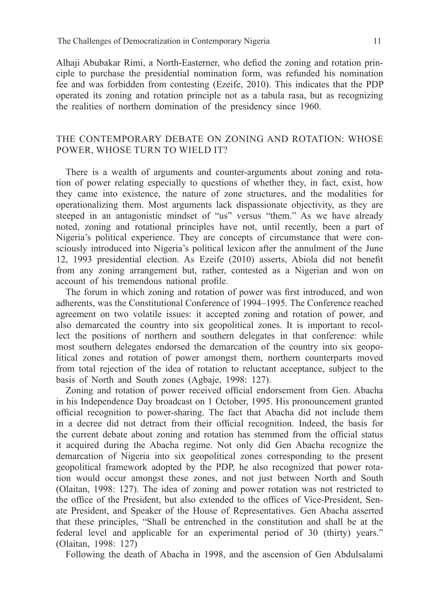Alhaji Abubakar Rimi, a North-Easterner, who defied the zoning and rotation principle to purchase the presidential nomination form, was refunded his nomination fee and was forbidden from contesting (Ezeife, 2010). This indicates that the PDP operated its zoning and rotation principle not as a tabula rasa, but as recognizing the realities of northern domination of the presidency since 1960.

# The Contemporary Debate on Zoning and Rotation: Whose POWER, WHOSE TURN TO WIELD IT?

There is a wealth of arguments and counter-arguments about zoning and rotation of power relating especially to questions of whether they, in fact, exist, how they came into existence, the nature of zone structures, and the modalities for operationalizing them. Most arguments lack dispassionate objectivity, as they are steeped in an antagonistic mindset of "us" versus "them." As we have already noted, zoning and rotational principles have not, until recently, been a part of Nigeria's political experience. They are concepts of circumstance that were consciously introduced into Nigeria's political lexicon after the annulment of the June 12, 1993 presidential election. As Ezeife (2010) asserts, Abiola did not benefit from any zoning arrangement but, rather, contested as a Nigerian and won on account of his tremendous national profile.

The forum in which zoning and rotation of power was first introduced, and won adherents, was the Constitutional Conference of 1994–1995. The Conference reached agreement on two volatile issues: it accepted zoning and rotation of power, and also demarcated the country into six geopolitical zones. It is important to recollect the positions of northern and southern delegates in that conference: while most southern delegates endorsed the demarcation of the country into six geopolitical zones and rotation of power amongst them, northern counterparts moved from total rejection of the idea of rotation to reluctant acceptance, subject to the basis of North and South zones (Agbaje, 1998: 127).

Zoning and rotation of power received official endorsement from Gen. Abacha in his Independence Day broadcast on 1 October, 1995. His pronouncement granted official recognition to power-sharing. The fact that Abacha did not include them in a decree did not detract from their official recognition. Indeed, the basis for the current debate about zoning and rotation has stemmed from the official status it acquired during the Abacha regime. Not only did Gen Abacha recognize the demarcation of Nigeria into six geopolitical zones corresponding to the present geopolitical framework adopted by the PDP, he also recognized that power rotation would occur amongst these zones, and not just between North and South (Olaitan, 1998: 127). The idea of zoning and power rotation was not restricted to the office of the President, but also extended to the offices of Vice-President, Senate President, and Speaker of the House of Representatives. Gen Abacha asserted that these principles, "Shall be entrenched in the constitution and shall be at the federal level and applicable for an experimental period of 30 (thirty) years." (Olaitan, 1998: 127)

Following the death of Abacha in 1998, and the ascension of Gen Abdulsalami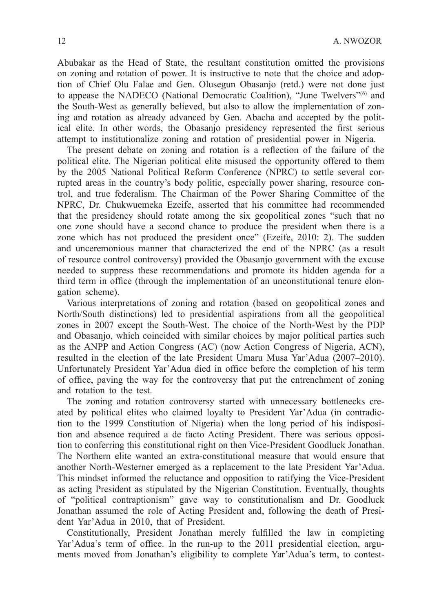Abubakar as the Head of State, the resultant constitution omitted the provisions on zoning and rotation of power. It is instructive to note that the choice and adoption of Chief Olu Falae and Gen. Olusegun Obasanjo (retd.) were not done just to appease the NADECO (National Democratic Coalition), "June Twelvers"(6) and the South-West as generally believed, but also to allow the implementation of zoning and rotation as already advanced by Gen. Abacha and accepted by the political elite. In other words, the Obasanjo presidency represented the first serious attempt to institutionalize zoning and rotation of presidential power in Nigeria.

The present debate on zoning and rotation is a reflection of the failure of the political elite. The Nigerian political elite misused the opportunity offered to them by the 2005 National Political Reform Conference (NPRC) to settle several corrupted areas in the country's body politic, especially power sharing, resource control, and true federalism. The Chairman of the Power Sharing Committee of the NPRC, Dr. Chukwuemeka Ezeife, asserted that his committee had recommended that the presidency should rotate among the six geopolitical zones "such that no one zone should have a second chance to produce the president when there is a zone which has not produced the president once" (Ezeife, 2010: 2). The sudden and unceremonious manner that characterized the end of the NPRC (as a result of resource control controversy) provided the Obasanjo government with the excuse needed to suppress these recommendations and promote its hidden agenda for a third term in office (through the implementation of an unconstitutional tenure elongation scheme).

Various interpretations of zoning and rotation (based on geopolitical zones and North/South distinctions) led to presidential aspirations from all the geopolitical zones in 2007 except the South-West. The choice of the North-West by the PDP and Obasanjo, which coincided with similar choices by major political parties such as the ANPP and Action Congress (AC) (now Action Congress of Nigeria, ACN), resulted in the election of the late President Umaru Musa Yar'Adua (2007–2010). Unfortunately President Yar'Adua died in office before the completion of his term of office, paving the way for the controversy that put the entrenchment of zoning and rotation to the test.

The zoning and rotation controversy started with unnecessary bottlenecks created by political elites who claimed loyalty to President Yar'Adua (in contradiction to the 1999 Constitution of Nigeria) when the long period of his indisposition and absence required a de facto Acting President. There was serious opposition to conferring this constitutional right on then Vice-President Goodluck Jonathan. The Northern elite wanted an extra-constitutional measure that would ensure that another North-Westerner emerged as a replacement to the late President Yar'Adua. This mindset informed the reluctance and opposition to ratifying the Vice-President as acting President as stipulated by the Nigerian Constitution. Eventually, thoughts of "political contraptionism" gave way to constitutionalism and Dr. Goodluck Jonathan assumed the role of Acting President and, following the death of President Yar'Adua in 2010, that of President.

Constitutionally, President Jonathan merely fulfilled the law in completing Yar'Adua's term of office. In the run-up to the 2011 presidential election, arguments moved from Jonathan's eligibility to complete Yar'Adua's term, to contest-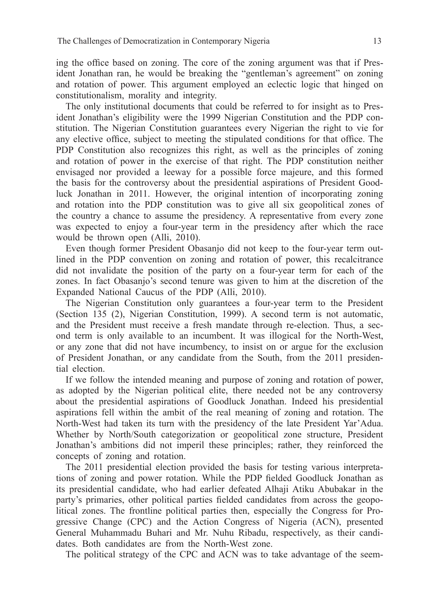ing the office based on zoning. The core of the zoning argument was that if President Jonathan ran, he would be breaking the "gentleman's agreement" on zoning and rotation of power. This argument employed an eclectic logic that hinged on constitutionalism, morality and integrity.

The only institutional documents that could be referred to for insight as to President Jonathan's eligibility were the 1999 Nigerian Constitution and the PDP constitution. The Nigerian Constitution guarantees every Nigerian the right to vie for any elective office, subject to meeting the stipulated conditions for that office. The PDP Constitution also recognizes this right, as well as the principles of zoning and rotation of power in the exercise of that right. The PDP constitution neither envisaged nor provided a leeway for a possible force majeure, and this formed the basis for the controversy about the presidential aspirations of President Goodluck Jonathan in 2011. However, the original intention of incorporating zoning and rotation into the PDP constitution was to give all six geopolitical zones of the country a chance to assume the presidency. A representative from every zone was expected to enjoy a four-year term in the presidency after which the race would be thrown open (Alli, 2010).

Even though former President Obasanjo did not keep to the four-year term outlined in the PDP convention on zoning and rotation of power, this recalcitrance did not invalidate the position of the party on a four-year term for each of the zones. In fact Obasanjo's second tenure was given to him at the discretion of the Expanded National Caucus of the PDP (Alli, 2010).

The Nigerian Constitution only guarantees a four-year term to the President (Section 135 (2), Nigerian Constitution, 1999). A second term is not automatic, and the President must receive a fresh mandate through re-election. Thus, a second term is only available to an incumbent. It was illogical for the North-West, or any zone that did not have incumbency, to insist on or argue for the exclusion of President Jonathan, or any candidate from the South, from the 2011 presidential election.

If we follow the intended meaning and purpose of zoning and rotation of power, as adopted by the Nigerian political elite, there needed not be any controversy about the presidential aspirations of Goodluck Jonathan. Indeed his presidential aspirations fell within the ambit of the real meaning of zoning and rotation. The North-West had taken its turn with the presidency of the late President Yar'Adua. Whether by North/South categorization or geopolitical zone structure, President Jonathan's ambitions did not imperil these principles; rather, they reinforced the concepts of zoning and rotation.

The 2011 presidential election provided the basis for testing various interpretations of zoning and power rotation. While the PDP fielded Goodluck Jonathan as its presidential candidate, who had earlier defeated Alhaji Atiku Abubakar in the party's primaries, other political parties fielded candidates from across the geopolitical zones. The frontline political parties then, especially the Congress for Progressive Change (CPC) and the Action Congress of Nigeria (ACN), presented General Muhammadu Buhari and Mr. Nuhu Ribadu, respectively, as their candidates. Both candidates are from the North-West zone.

The political strategy of the CPC and ACN was to take advantage of the seem-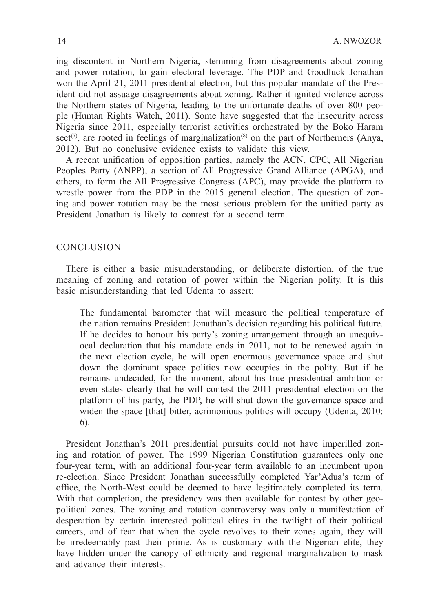ing discontent in Northern Nigeria, stemming from disagreements about zoning and power rotation, to gain electoral leverage. The PDP and Goodluck Jonathan won the April 21, 2011 presidential election, but this popular mandate of the President did not assuage disagreements about zoning. Rather it ignited violence across the Northern states of Nigeria, leading to the unfortunate deaths of over 800 people (Human Rights Watch, 2011). Some have suggested that the insecurity across Nigeria since 2011, especially terrorist activities orchestrated by the Boko Haram sect<sup>(7)</sup>, are rooted in feelings of marginalization<sup>(8)</sup> on the part of Northerners (Anya, 2012). But no conclusive evidence exists to validate this view.

A recent unification of opposition parties, namely the ACN, CPC, All Nigerian Peoples Party (ANPP), a section of All Progressive Grand Alliance (APGA), and others, to form the All Progressive Congress (APC), may provide the platform to wrestle power from the PDP in the 2015 general election. The question of zoning and power rotation may be the most serious problem for the unified party as President Jonathan is likely to contest for a second term.

### **CONCLUSION**

There is either a basic misunderstanding, or deliberate distortion, of the true meaning of zoning and rotation of power within the Nigerian polity. It is this basic misunderstanding that led Udenta to assert:

The fundamental barometer that will measure the political temperature of the nation remains President Jonathan's decision regarding his political future. If he decides to honour his party's zoning arrangement through an unequivocal declaration that his mandate ends in 2011, not to be renewed again in the next election cycle, he will open enormous governance space and shut down the dominant space politics now occupies in the polity. But if he remains undecided, for the moment, about his true presidential ambition or even states clearly that he will contest the 2011 presidential election on the platform of his party, the PDP, he will shut down the governance space and widen the space [that] bitter, acrimonious politics will occupy (Udenta, 2010: 6).

President Jonathan's 2011 presidential pursuits could not have imperilled zoning and rotation of power. The 1999 Nigerian Constitution guarantees only one four-year term, with an additional four-year term available to an incumbent upon re-election. Since President Jonathan successfully completed Yar'Adua's term of office, the North-West could be deemed to have legitimately completed its term. With that completion, the presidency was then available for contest by other geopolitical zones. The zoning and rotation controversy was only a manifestation of desperation by certain interested political elites in the twilight of their political careers, and of fear that when the cycle revolves to their zones again, they will be irredeemably past their prime. As is customary with the Nigerian elite, they have hidden under the canopy of ethnicity and regional marginalization to mask and advance their interests.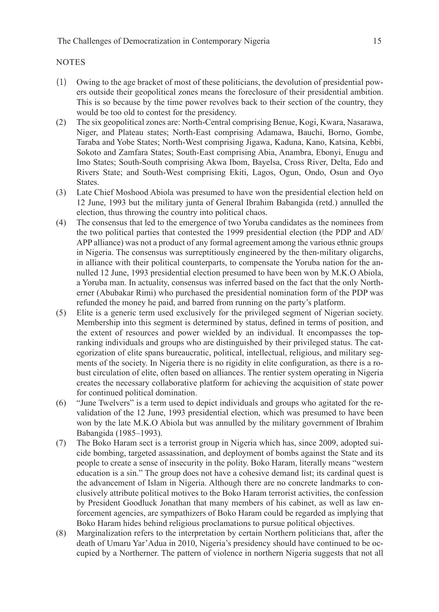### **NOTES**

- (1) Owing to the age bracket of most of these politicians, the devolution of presidential powers outside their geopolitical zones means the foreclosure of their presidential ambition. This is so because by the time power revolves back to their section of the country, they would be too old to contest for the presidency.
- (2) The six geopolitical zones are: North-Central comprising Benue, Kogi, Kwara, Nasarawa, Niger, and Plateau states; North-East comprising Adamawa, Bauchi, Borno, Gombe, Taraba and Yobe States; North-West comprising Jigawa, Kaduna, Kano, Katsina, Kebbi, Sokoto and Zamfara States; South-East comprising Abia, Anambra, Ebonyi, Enugu and Imo States; South-South comprising Akwa Ibom, Bayelsa, Cross River, Delta, Edo and Rivers State; and South-West comprising Ekiti, Lagos, Ogun, Ondo, Osun and Oyo States.
- (3) Late Chief Moshood Abiola was presumed to have won the presidential election held on 12 June, 1993 but the military junta of General Ibrahim Babangida (retd.) annulled the election, thus throwing the country into political chaos.
- (4) The consensus that led to the emergence of two Yoruba candidates as the nominees from the two political parties that contested the 1999 presidential election (the PDP and AD/ APP alliance) was not a product of any formal agreement among the various ethnic groups in Nigeria. The consensus was surreptitiously engineered by the then-military oligarchs, in alliance with their political counterparts, to compensate the Yoruba nation for the annulled 12 June, 1993 presidential election presumed to have been won by M.K.O Abiola, a Yoruba man. In actuality, consensus was inferred based on the fact that the only Northerner (Abubakar Rimi) who purchased the presidential nomination form of the PDP was refunded the money he paid, and barred from running on the party's platform.
- (5) Elite is a generic term used exclusively for the privileged segment of Nigerian society. Membership into this segment is determined by status, defined in terms of position, and the extent of resources and power wielded by an individual. It encompasses the topranking individuals and groups who are distinguished by their privileged status. The categorization of elite spans bureaucratic, political, intellectual, religious, and military segments of the society. In Nigeria there is no rigidity in elite configuration, as there is a robust circulation of elite, often based on alliances. The rentier system operating in Nigeria creates the necessary collaborative platform for achieving the acquisition of state power for continued political domination.
- (6) "June Twelvers" is a term used to depict individuals and groups who agitated for the revalidation of the 12 June, 1993 presidential election, which was presumed to have been won by the late M.K.O Abiola but was annulled by the military government of Ibrahim Babangida (1985–1993).
- (7) The Boko Haram sect is a terrorist group in Nigeria which has, since 2009, adopted suicide bombing, targeted assassination, and deployment of bombs against the State and its people to create a sense of insecurity in the polity. Boko Haram, literally means "western education is a sin." The group does not have a cohesive demand list; its cardinal quest is the advancement of Islam in Nigeria. Although there are no concrete landmarks to conclusively attribute political motives to the Boko Haram terrorist activities, the confession by President Goodluck Jonathan that many members of his cabinet, as well as law enforcement agencies, are sympathizers of Boko Haram could be regarded as implying that Boko Haram hides behind religious proclamations to pursue political objectives.
- (8) Marginalization refers to the interpretation by certain Northern politicians that, after the death of Umaru Yar'Adua in 2010, Nigeria's presidency should have continued to be occupied by a Northerner. The pattern of violence in northern Nigeria suggests that not all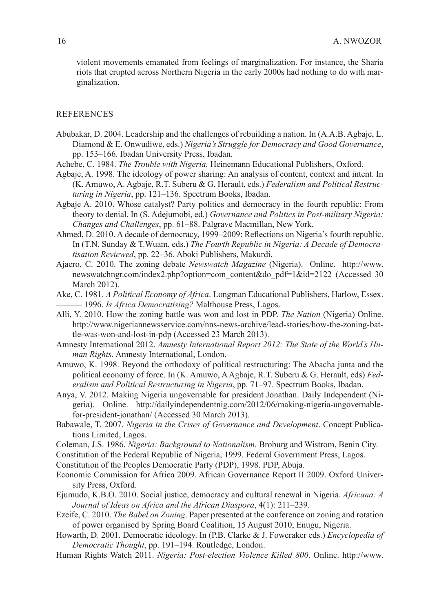violent movements emanated from feelings of marginalization. For instance, the Sharia riots that erupted across Northern Nigeria in the early 2000s had nothing to do with marginalization.

#### **REFERENCES**

- Abubakar, D. 2004. Leadership and the challenges of rebuilding a nation. In (A.A.B. Agbaje, L. Diamond & E. Onwudiwe, eds.) *Nigeria's Struggle for Democracy and Good Governance*, pp. 153–166. Ibadan University Press, Ibadan.
- Achebe, C. 1984. *The Trouble with Nigeria.* Heinemann Educational Publishers, Oxford.
- Agbaje, A. 1998. The ideology of power sharing: An analysis of content, context and intent. In (K. Amuwo, A. Agbaje, R.T. Suberu & G. Herault, eds.) *Federalism and Political Restructuring in Nigeria*, pp. 121–136. Spectrum Books, Ibadan.
- Agbaje A. 2010. Whose catalyst? Party politics and democracy in the fourth republic: From theory to denial. In (S. Adejumobi, ed.) *Governance and Politics in Post-military Nigeria: Changes and Challenges*, pp. 61–88. Palgrave Macmillan, New York.
- Ahmed, D. 2010. A decade of democracy, 1999–2009: Reflections on Nigeria's fourth republic. In (T.N. Sunday & T.Wuam, eds.) *The Fourth Republic in Nigeria: A Decade of Democratisation Reviewed*, pp. 22–36. Aboki Publishers, Makurdi.
- Ajaero, C. 2010. The zoning debate *Newswatch Magazine* (Nigeria). Online. http://www. newswatchngr.com/index2.php?option=com\_content&do\_pdf=1&id=2122 (Accessed 30 March 2012).
- Ake, C. 1981. *A Political Economy of Africa*. Longman Educational Publishers, Harlow, Essex.<br>
<sup>1996</sup>. *Is Africa Democratising?* Malthouse Press, Lagos.
- Alli, Y. 2010. How the zoning battle was won and lost in PDP. *The Nation* (Nigeria) Online. http://www.nigeriannewsservice.com/nns-news-archive/lead-stories/how-the-zoning-battle-was-won-and-lost-in-pdp (Accessed 23 March 2013).
- Amnesty International 2012. *Amnesty International Report 2012: The State of the World's Human Rights*. Amnesty International, London.
- Amuwo, K. 1998. Beyond the orthodoxy of political restructuring: The Abacha junta and the political economy of force. In (K. Amuwo, A Agbaje, R.T. Suberu & G. Herault, eds) *Federalism and Political Restructuring in Nigeria*, pp. 71–97. Spectrum Books, Ibadan.
- Anya, V. 2012. Making Nigeria ungovernable for president Jonathan. Daily Independent (Nigeria). Online. http://dailyindependentnig.com/2012/06/making-nigeria-ungovernablefor-president-jonathan/ (Accessed 30 March 2013).
- Babawale, T. 2007. *Nigeria in the Crises of Governance and Development*. Concept Publications Limited, Lagos.
- Coleman, J.S. 1986. *Nigeria: Background to Nationalism*. Broburg and Wistrom, Benin City.

Constitution of the Federal Republic of Nigeria, 1999. Federal Government Press, Lagos.

- Constitution of the Peoples Democratic Party (PDP), 1998. PDP, Abuja.
- Economic Commission for Africa 2009. African Governance Report II 2009. Oxford University Press, Oxford.
- Ejumudo, K.B.O. 2010. Social justice, democracy and cultural renewal in Nigeria. *Africana: A Journal of Ideas on Africa and the African Diaspora*, 4(1): 211–239.
- Ezeife, C. 2010. *The Babel on Zoning*. Paper presented at the conference on zoning and rotation of power organised by Spring Board Coalition, 15 August 2010, Enugu, Nigeria.
- Howarth, D. 2001. Democratic ideology. In (P.B. Clarke & J. Foweraker eds.) *Encyclopedia of Democratic Thought*, pp. 191–194. Routledge, London.
- Human Rights Watch 2011. *Nigeria: Post-election Violence Killed 800*. Online. http://www.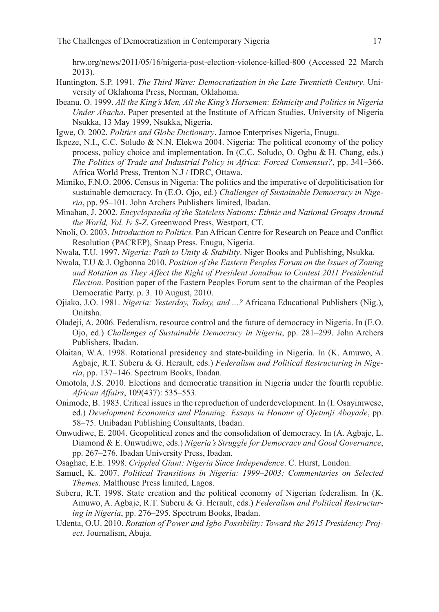hrw.org/news/2011/05/16/nigeria-post-election-violence-killed-800 (Accessed 22 March 2013).

- Huntington, S.P. 1991. *The Third Wave: Democratization in the Late Twentieth Century*. University of Oklahoma Press, Norman, Oklahoma.
- Ibeanu, O. 1999. *All the King's Men, All the King's Horsemen: Ethnicity and Politics in Nigeria Under Abacha*. Paper presented at the Institute of African Studies, University of Nigeria Nsukka, 13 May 1999, Nsukka, Nigeria.
- Igwe, O. 2002. *Politics and Globe Dictionary*. Jamoe Enterprises Nigeria, Enugu.
- Ikpeze, N.I., C.C. Soludo & N.N. Elekwa 2004. Nigeria: The political economy of the policy process, policy choice and implementation. In (C.C. Soludo, O. Ogbu & H. Chang, eds.) *The Politics of Trade and Industrial Policy in Africa: Forced Consensus?*, pp. 341–366. Africa World Press, Trenton N.J / IDRC, Ottawa.
- Mimiko, F.N.O. 2006. Census in Nigeria: The politics and the imperative of depoliticisation for sustainable democracy. In (E.O. Ojo, ed.) *Challenges of Sustainable Democracy in Nigeria*, pp. 95–101. John Archers Publishers limited, Ibadan.
- Minahan, J. 2002. *Encyclopaedia of the Stateless Nations: Ethnic and National Groups Around the World, Vol. Iv S-Z*. Greenwood Press, Westport, CT.
- Nnoli, O. 2003. *Introduction to Politics.* Pan African Centre for Research on Peace and Conflict Resolution (PACREP), Snaap Press. Enugu, Nigeria.
- Nwala, T.U. 1997. *Nigeria: Path to Unity & Stability*. Niger Books and Publishing, Nsukka.
- Nwala, T.U & J. Ogbonna 2010. *Position of the Eastern Peoples Forum on the Issues of Zoning and Rotation as They Affect the Right of President Jonathan to Contest 2011 Presidential Election*. Position paper of the Eastern Peoples Forum sent to the chairman of the Peoples Democratic Party. p. 3. 10 August, 2010.
- Ojiako, J.O. 1981. *Nigeria: Yesterday, Today, and ...?* Africana Educational Publishers (Nig.), Onitsha.
- Oladeji, A. 2006. Federalism, resource control and the future of democracy in Nigeria. In (E.O. Ojo, ed.) *Challenges of Sustainable Democracy in Nigeria*, pp. 281–299. John Archers Publishers, Ibadan.
- Olaitan, W.A. 1998. Rotational presidency and state-building in Nigeria. In (K. Amuwo, A. Agbaje, R.T. Suberu & G. Herault, eds.) *Federalism and Political Restructuring in Nigeria*, pp. 137–146. Spectrum Books, Ibadan.
- Omotola, J.S. 2010. Elections and democratic transition in Nigeria under the fourth republic. *African Affairs*, 109(437): 535–553.
- Onimode, B. 1983. Critical issues in the reproduction of underdevelopment. In (I. Osayimwese, ed.) *Development Economics and Planning: Essays in Honour of Ojetunji Aboyade*, pp. 58–75. Unibadan Publishing Consultants, Ibadan.
- Onwudiwe, E. 2004. Geopolitical zones and the consolidation of democracy. In (A. Agbaje, L. Diamond & E. Onwudiwe, eds.) *Nigeria's Struggle for Democracy and Good Governance*, pp. 267–276. Ibadan University Press, Ibadan.
- Osaghae, E.E. 1998. *Crippled Giant: Nigeria Since Independence*. C. Hurst, London.
- Samuel, K. 2007. *Political Transitions in Nigeria: 1999–2003: Commentaries on Selected Themes.* Malthouse Press limited, Lagos.
- Suberu, R.T. 1998. State creation and the political economy of Nigerian federalism. In (K. Amuwo, A. Agbaje, R.T. Suberu & G. Herault, eds.) *Federalism and Political Restructuring in Nigeria*, pp. 276–295. Spectrum Books, Ibadan.
- Udenta, O.U. 2010. *Rotation of Power and Igbo Possibility: Toward the 2015 Presidency Project*. Journalism, Abuja.